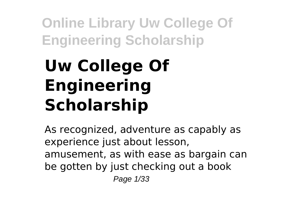# **Uw College Of Engineering Scholarship**

As recognized, adventure as capably as experience just about lesson, amusement, as with ease as bargain can be gotten by just checking out a book Page 1/33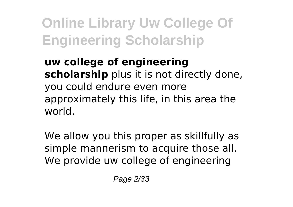**uw college of engineering scholarship** plus it is not directly done, you could endure even more approximately this life, in this area the world.

We allow you this proper as skillfully as simple mannerism to acquire those all. We provide uw college of engineering

Page 2/33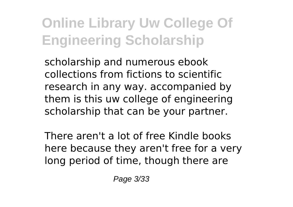scholarship and numerous ebook collections from fictions to scientific research in any way. accompanied by them is this uw college of engineering scholarship that can be your partner.

There aren't a lot of free Kindle books here because they aren't free for a very long period of time, though there are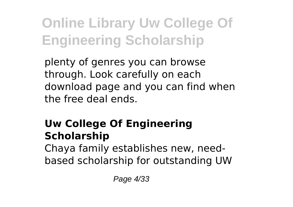plenty of genres you can browse through. Look carefully on each download page and you can find when the free deal ends.

### **Uw College Of Engineering Scholarship**

Chaya family establishes new, needbased scholarship for outstanding UW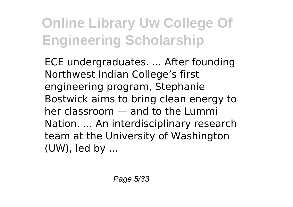ECE undergraduates. ... After founding Northwest Indian College's first engineering program, Stephanie Bostwick aims to bring clean energy to her classroom — and to the Lummi Nation. ... An interdisciplinary research team at the University of Washington (UW), led by ...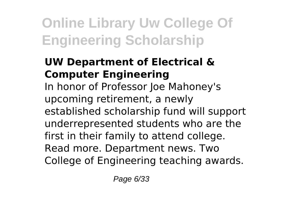#### **UW Department of Electrical & Computer Engineering**

In honor of Professor Joe Mahoney's upcoming retirement, a newly established scholarship fund will support underrepresented students who are the first in their family to attend college. Read more. Department news. Two College of Engineering teaching awards.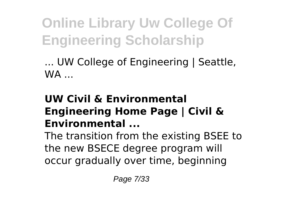... UW College of Engineering | Seattle,  $WA$ ...

#### **UW Civil & Environmental Engineering Home Page | Civil & Environmental ...**

The transition from the existing BSEE to the new BSECE degree program will occur gradually over time, beginning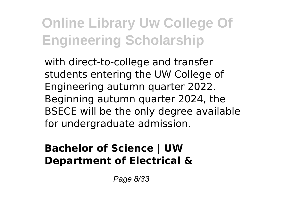with direct-to-college and transfer students entering the UW College of Engineering autumn quarter 2022. Beginning autumn quarter 2024, the BSECE will be the only degree available for undergraduate admission.

#### **Bachelor of Science | UW Department of Electrical &**

Page 8/33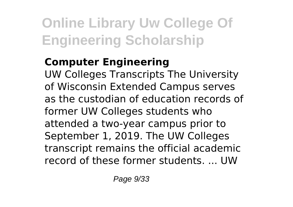### **Computer Engineering**

UW Colleges Transcripts The University of Wisconsin Extended Campus serves as the custodian of education records of former UW Colleges students who attended a two-year campus prior to September 1, 2019. The UW Colleges transcript remains the official academic record of these former students. ... UW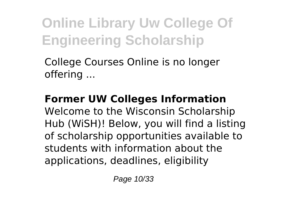College Courses Online is no longer offering ...

**Former UW Colleges Information** Welcome to the Wisconsin Scholarship Hub (WiSH)! Below, you will find a listing of scholarship opportunities available to students with information about the applications, deadlines, eligibility

Page 10/33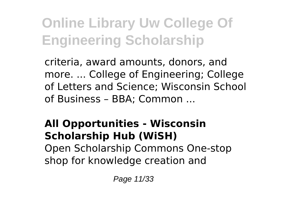criteria, award amounts, donors, and more. ... College of Engineering; College of Letters and Science; Wisconsin School of Business – BBA; Common ...

#### **All Opportunities - Wisconsin Scholarship Hub (WiSH)** Open Scholarship Commons One-stop shop for knowledge creation and

Page 11/33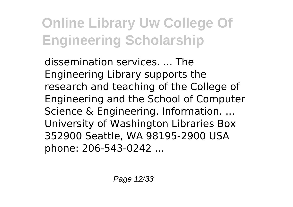dissemination services. ... The Engineering Library supports the research and teaching of the College of Engineering and the School of Computer Science & Engineering. Information. ... University of Washington Libraries Box 352900 Seattle, WA 98195-2900 USA phone: 206-543-0242 ...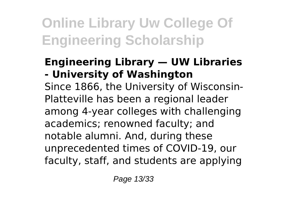#### **Engineering Library — UW Libraries - University of Washington**

Since 1866, the University of Wisconsin-Platteville has been a regional leader among 4-year colleges with challenging academics; renowned faculty; and notable alumni. And, during these unprecedented times of COVID-19, our faculty, staff, and students are applying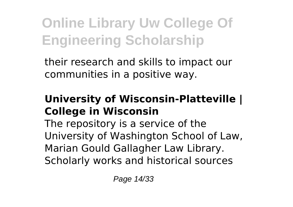their research and skills to impact our communities in a positive way.

#### **University of Wisconsin-Platteville | College in Wisconsin**

The repository is a service of the University of Washington School of Law, Marian Gould Gallagher Law Library. Scholarly works and historical sources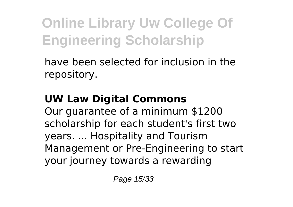have been selected for inclusion in the repository.

### **UW Law Digital Commons**

Our guarantee of a minimum \$1200 scholarship for each student's first two years. ... Hospitality and Tourism Management or Pre-Engineering to start your journey towards a rewarding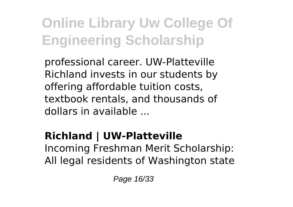professional career. UW-Platteville Richland invests in our students by offering affordable tuition costs, textbook rentals, and thousands of dollars in available ...

### **Richland | UW-Platteville**

Incoming Freshman Merit Scholarship: All legal residents of Washington state

Page 16/33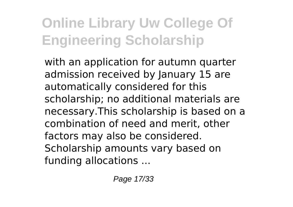with an application for autumn quarter admission received by January 15 are automatically considered for this scholarship; no additional materials are necessary.This scholarship is based on a combination of need and merit, other factors may also be considered. Scholarship amounts vary based on funding allocations ...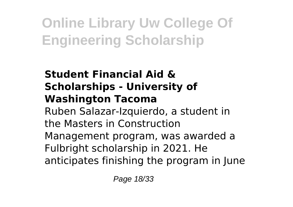#### **Student Financial Aid & Scholarships - University of Washington Tacoma** Ruben Salazar-Izquierdo, a student in the Masters in Construction Management program, was awarded a Fulbright scholarship in 2021. He anticipates finishing the program in June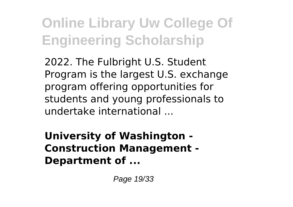2022. The Fulbright U.S. Student Program is the largest U.S. exchange program offering opportunities for students and young professionals to undertake international ...

**University of Washington - Construction Management - Department of ...**

Page 19/33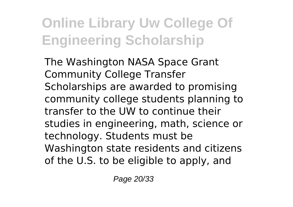The Washington NASA Space Grant Community College Transfer Scholarships are awarded to promising community college students planning to transfer to the UW to continue their studies in engineering, math, science or technology. Students must be Washington state residents and citizens of the U.S. to be eligible to apply, and

Page 20/33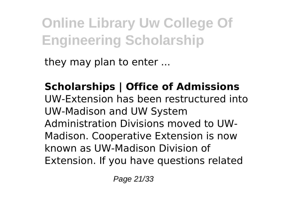they may plan to enter ...

**Scholarships | Office of Admissions** UW-Extension has been restructured into UW-Madison and UW System Administration Divisions moved to UW-Madison. Cooperative Extension is now known as UW-Madison Division of Extension. If you have questions related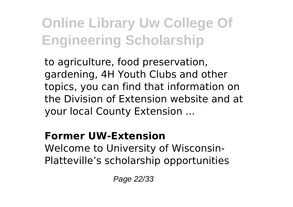to agriculture, food preservation, gardening, 4H Youth Clubs and other topics, you can find that information on the Division of Extension website and at your local County Extension ...

#### **Former UW-Extension**

Welcome to University of Wisconsin-Platteville's scholarship opportunities

Page 22/33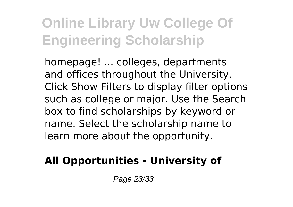homepage! ... colleges, departments and offices throughout the University. Click Show Filters to display filter options such as college or major. Use the Search box to find scholarships by keyword or name. Select the scholarship name to learn more about the opportunity.

### **All Opportunities - University of**

Page 23/33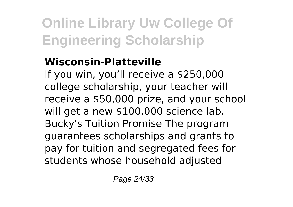#### **Wisconsin-Platteville**

If you win, you'll receive a \$250,000 college scholarship, your teacher will receive a \$50,000 prize, and your school will get a new \$100,000 science lab. Bucky's Tuition Promise The program guarantees scholarships and grants to pay for tuition and segregated fees for students whose household adjusted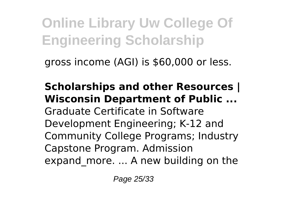gross income (AGI) is \$60,000 or less.

**Scholarships and other Resources | Wisconsin Department of Public ...** Graduate Certificate in Software Development Engineering; K-12 and Community College Programs; Industry Capstone Program. Admission expand more. ... A new building on the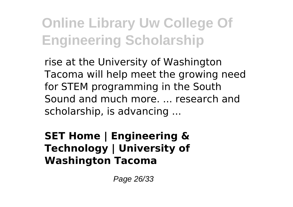rise at the University of Washington Tacoma will help meet the growing need for STEM programming in the South Sound and much more. ... research and scholarship, is advancing ...

**SET Home | Engineering & Technology | University of Washington Tacoma**

Page 26/33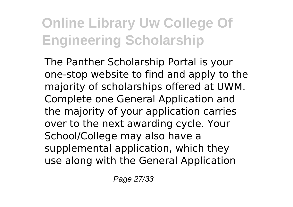The Panther Scholarship Portal is your one-stop website to find and apply to the majority of scholarships offered at UWM. Complete one General Application and the majority of your application carries over to the next awarding cycle. Your School/College may also have a supplemental application, which they use along with the General Application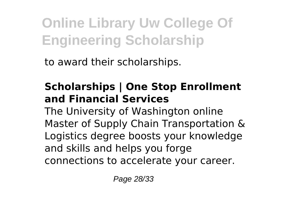to award their scholarships.

### **Scholarships | One Stop Enrollment and Financial Services**

The University of Washington online Master of Supply Chain Transportation & Logistics degree boosts your knowledge and skills and helps you forge connections to accelerate your career.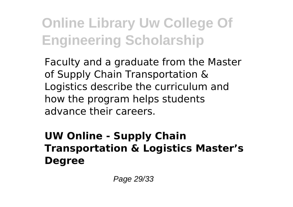Faculty and a graduate from the Master of Supply Chain Transportation & Logistics describe the curriculum and how the program helps students advance their careers.

#### **UW Online - Supply Chain Transportation & Logistics Master's Degree**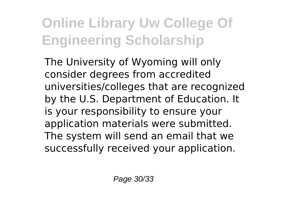The University of Wyoming will only consider degrees from accredited universities/colleges that are recognized by the U.S. Department of Education. It is your responsibility to ensure your application materials were submitted. The system will send an email that we successfully received your application.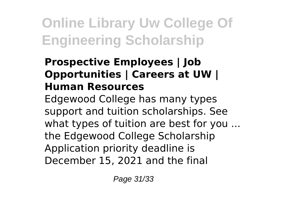#### **Prospective Employees | Job Opportunities | Careers at UW | Human Resources**

Edgewood College has many types support and tuition scholarships. See what types of tuition are best for you ... the Edgewood College Scholarship Application priority deadline is December 15, 2021 and the final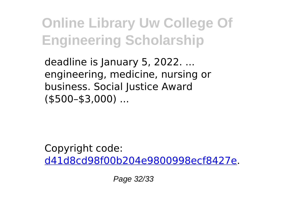deadline is January 5, 2022. ... engineering, medicine, nursing or business. Social Justice Award (\$500–\$3,000) ...

Copyright code: [d41d8cd98f00b204e9800998ecf8427e.](/sitemap.xml)

Page 32/33